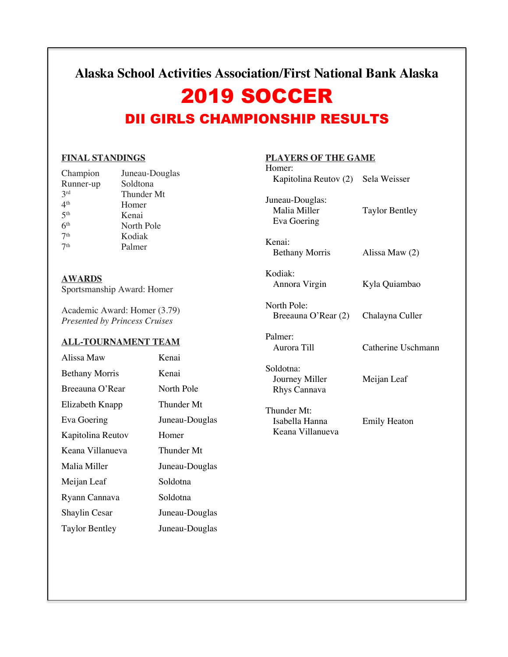### **Alaska School Activities Association/First National Bank Alaska**

# 2019 SOCCER

## DII GIRLS CHAMPIONSHIP RESULTS

#### **FINAL STANDINGS**

| Champion        | Juneau-Douglas |
|-----------------|----------------|
| Runner-up       | Soldtona       |
| 2rd             | Thunder Mt     |
| 4 <sup>th</sup> | Homer          |
| 5 <sup>th</sup> | Kenai          |
| 6 <sup>th</sup> | North Pole     |
| 7 <sup>th</sup> | Kodiak         |
| 7 <sup>th</sup> | Palmer         |
|                 |                |

**AWARDS** Sportsmanship Award: Homer

Academic Award: Homer (3.79) *Presented by Princess Cruises*

#### **ALL-TOURNAMENT TEAM**

| Alissa Maw            | Kenai          |
|-----------------------|----------------|
| <b>Bethany Morris</b> | Kenai          |
| Breeauna O'Rear       | North Pole     |
| Elizabeth Knapp       | Thunder Mt     |
| Eva Goering           | Juneau-Douglas |
| Kapitolina Reutov     | Homer          |
| Keana Villanueva      | Thunder Mt     |
| Malia Miller          | Juneau-Douglas |
| Meijan Leaf           | Soldotna       |
| Ryann Cannava         | Soldotna       |
| <b>Shaylin Cesar</b>  | Juneau-Douglas |
| <b>Taylor Bentley</b> | Juneau-Douglas |

### **PLAYERS OF THE GAME**

| Homer:                                            |                       |
|---------------------------------------------------|-----------------------|
| Kapitolina Reutov (2) Sela Weisser                |                       |
| Juneau-Douglas:<br>Malia Miller<br>Eva Goering    | <b>Taylor Bentley</b> |
| Kenai:<br><b>Bethany Morris</b>                   | Alissa Maw (2)        |
| Kodiak:<br>Annora Virgin                          | Kyla Quiambao         |
| North Pole:<br>Breeauna O'Rear (2)                | Chalayna Culler       |
| Palmer:<br>Aurora Till                            | Catherine Uschmann    |
| Soldotna:<br>Journey Miller<br>Rhys Cannava       | Meijan Leaf           |
| Thunder Mt:<br>Isabella Hanna<br>Keana Villanueva | <b>Emily Heaton</b>   |
|                                                   |                       |